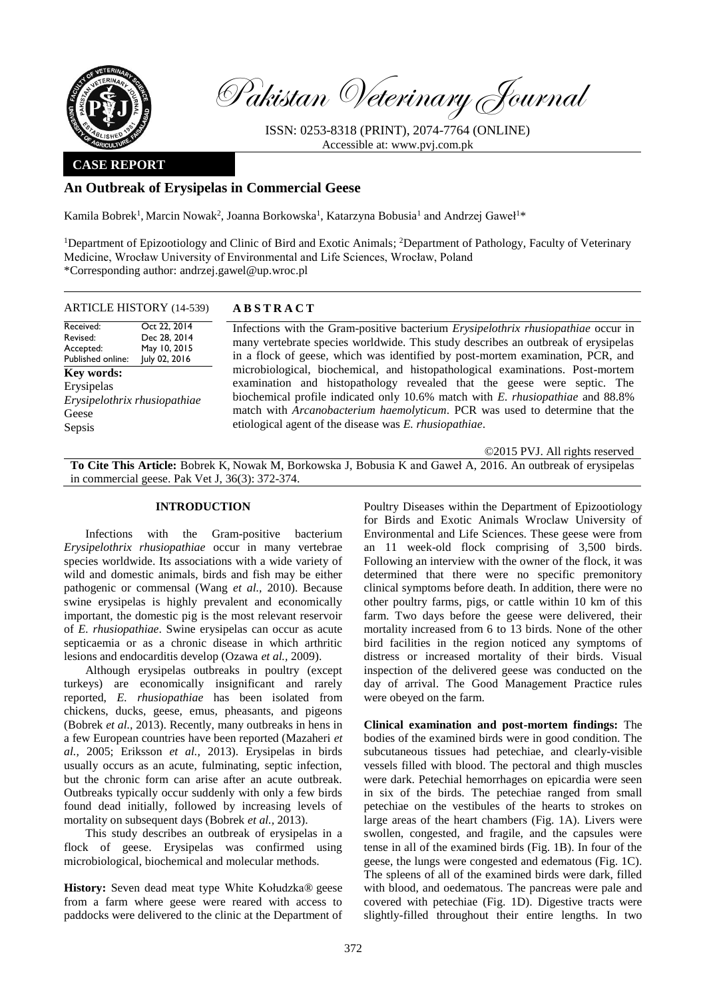

Pakistan Veterinary Journal

ISSN: 0253-8318 (PRINT), 2074-7764 (ONLINE) Accessible at: [www.pvj.com.pk](http://www.pvj.com.pk/)

# **CASE REPORT**

# **An Outbreak of Erysipelas in Commercial Geese**

Kamila Bobrek<sup>1</sup>, Marcin Nowak<sup>2</sup>, Joanna Borkowska<sup>1</sup>, Katarzyna Bobusia<sup>1</sup> and Andrzej Gaweł<sup>1\*</sup>

<sup>1</sup>Department of Epizootiology and Clinic of Bird and Exotic Animals; <sup>2</sup>Department of Pathology, Faculty of Veterinary Medicine, Wrocław University of Environmental and Life Sciences, Wrocław, Poland \*Corresponding author: andrzej.gawel@up.wroc.pl

### ARTICLE HISTORY (14-539) **A B S T R A C T**

| Received:<br>Revised:<br>Accepted:<br>Published online:                     | Oct 22, 2014<br>Dec 28, 2014<br>May 10, 2015<br>July 02, 2016 | Infections with the Gram-positive bacterium <i>Erysipelothrix rhusiopathiae</i> occur in<br>many vertebrate species worldwide. This study describes an outbreak of erysipelas<br>in a flock of geese, which was identified by post-mortem examination, PCR, and                                                                                                                     |
|-----------------------------------------------------------------------------|---------------------------------------------------------------|-------------------------------------------------------------------------------------------------------------------------------------------------------------------------------------------------------------------------------------------------------------------------------------------------------------------------------------------------------------------------------------|
| Key words:<br>Erysipelas<br>Erysipelothrix rhusiopathiae<br>Geese<br>Sepsis |                                                               | microbiological, biochemical, and histopathological examinations. Post-mortem<br>examination and histopathology revealed that the geese were septic. The<br>biochemical profile indicated only 10.6% match with E. rhusiopathiae and 88.8%<br>match with Arcanobacterium haemolyticum. PCR was used to determine that the<br>etiological agent of the disease was E. rhusiopathiae. |

©2015 PVJ. All rights reserved

**To Cite This Article:** Bobrek K, Nowak M, Borkowska J, Bobusia K and Gaweł A, 2016. An outbreak of erysipelas in commercial geese. Pak Vet J, 36(3): 372-374.

## **INTRODUCTION**

Infections with the Gram-positive bacterium *Erysipelothrix rhusiopathiae* occur in many vertebrae species worldwide. Its associations with a wide variety of wild and domestic animals, birds and fish may be either pathogenic or commensal (Wang *et al.,* 2010). Because swine erysipelas is highly prevalent and economically important, the domestic pig is the most relevant reservoir of *E. rhusiopathiae*. Swine erysipelas can occur as acute septicaemia or as a chronic disease in which arthritic lesions and endocarditis develop (Ozawa *et al.,* 2009).

Although erysipelas outbreaks in poultry (except turkeys) are economically insignificant and rarely reported, *E. rhusiopathiae* has been isolated from chickens, ducks, geese, emus, pheasants, and pigeons (Bobrek *et al.,* 2013). Recently, many outbreaks in hens in a few European countries have been reported (Mazaheri *et al.,* 2005; Eriksson *et al.,* 2013). Erysipelas in birds usually occurs as an acute, fulminating, septic infection, but the chronic form can arise after an acute outbreak. Outbreaks typically occur suddenly with only a few birds found dead initially, followed by increasing levels of mortality on subsequent days (Bobrek *et al.,* 2013).

This study describes an outbreak of erysipelas in a flock of geese. Erysipelas was confirmed using microbiological, biochemical and molecular methods.

**History:** Seven dead meat type White Kołudzka® geese from a farm where geese were reared with access to paddocks were delivered to the clinic at the Department of Poultry Diseases within the Department of Epizootiology for Birds and Exotic Animals Wroclaw University of Environmental and Life Sciences. These geese were from an 11 week-old flock comprising of 3,500 birds. Following an interview with the owner of the flock, it was determined that there were no specific premonitory clinical symptoms before death. In addition, there were no other poultry farms, pigs, or cattle within 10 km of this farm. Two days before the geese were delivered, their mortality increased from 6 to 13 birds. None of the other bird facilities in the region noticed any symptoms of distress or increased mortality of their birds. Visual inspection of the delivered geese was conducted on the day of arrival. The Good Management Practice rules were obeyed on the farm.

**Clinical examination and post-mortem findings:** The bodies of the examined birds were in good condition. The subcutaneous tissues had petechiae, and clearly-visible vessels filled with blood. The pectoral and thigh muscles were dark. Petechial hemorrhages on epicardia were seen in six of the birds. The petechiae ranged from small petechiae on the vestibules of the hearts to strokes on large areas of the heart chambers (Fig. 1A). Livers were swollen, congested, and fragile, and the capsules were tense in all of the examined birds (Fig. 1B). In four of the geese, the lungs were congested and edematous (Fig. 1C). The spleens of all of the examined birds were dark, filled with blood, and oedematous. The pancreas were pale and covered with petechiae (Fig. 1D). Digestive tracts were slightly-filled throughout their entire lengths. In two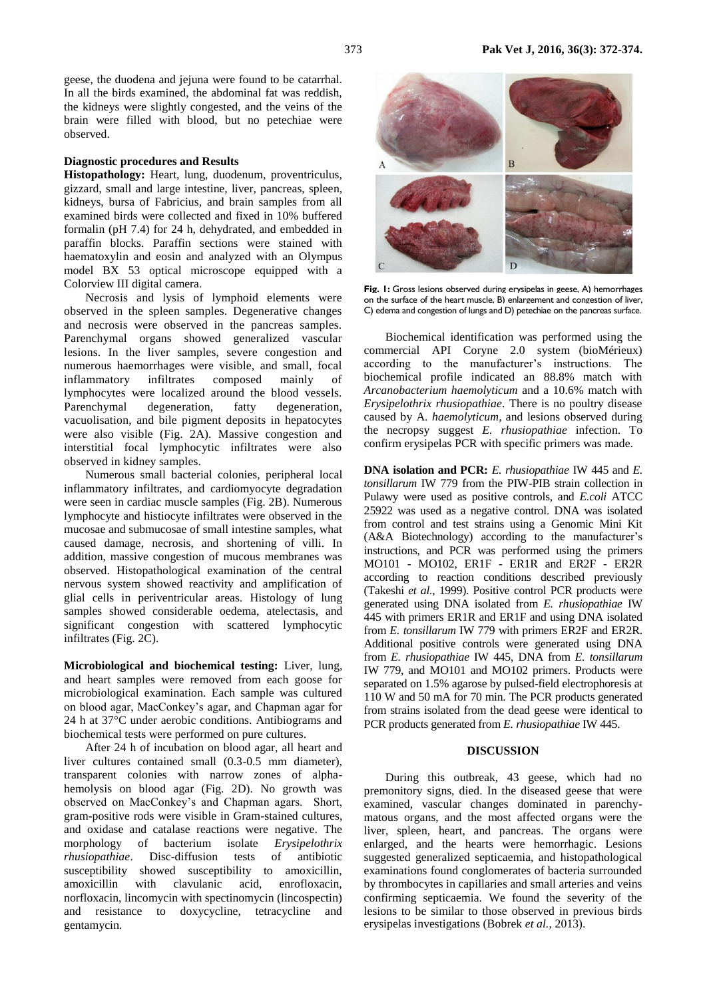geese, the duodena and jejuna were found to be catarrhal. In all the birds examined, the abdominal fat was reddish, the kidneys were slightly congested, and the veins of the brain were filled with blood, but no petechiae were observed.

### **Diagnostic procedures and Results**

**Histopathology:** Heart, lung, duodenum, proventriculus, gizzard, small and large intestine, liver, pancreas, spleen, kidneys, bursa of Fabricius, and brain samples from all examined birds were collected and fixed in 10% buffered formalin (pH 7.4) for 24 h, dehydrated, and embedded in paraffin blocks. Paraffin sections were stained with haematoxylin and eosin and analyzed with an Olympus model BX 53 optical microscope equipped with a Colorview III digital camera.

Necrosis and lysis of lymphoid elements were observed in the spleen samples. Degenerative changes and necrosis were observed in the pancreas samples. Parenchymal organs showed generalized vascular lesions. In the liver samples, severe congestion and numerous haemorrhages were visible, and small, focal inflammatory infiltrates composed mainly of lymphocytes were localized around the blood vessels. Parenchymal degeneration, fatty degeneration, vacuolisation, and bile pigment deposits in hepatocytes were also visible (Fig. 2A). Massive congestion and interstitial focal lymphocytic infiltrates were also observed in kidney samples.

Numerous small bacterial colonies, peripheral local inflammatory infiltrates, and cardiomyocyte degradation were seen in cardiac muscle samples (Fig. 2B). Numerous lymphocyte and histiocyte infiltrates were observed in the mucosae and submucosae of small intestine samples, what caused damage, necrosis, and shortening of villi. In addition, massive congestion of mucous membranes was observed. Histopathological examination of the central nervous system showed reactivity and amplification of glial cells in periventricular areas. Histology of lung samples showed considerable oedema, atelectasis, and significant congestion with scattered lymphocytic infiltrates (Fig. 2C).

**Microbiological and biochemical testing:** Liver, lung, and heart samples were removed from each goose for microbiological examination. Each sample was cultured on blood agar, MacConkey's agar, and Chapman agar for 24 h at 37°C under aerobic conditions. Antibiograms and biochemical tests were performed on pure cultures.

After 24 h of incubation on blood agar, all heart and liver cultures contained small (0.3-0.5 mm diameter), transparent colonies with narrow zones of alphahemolysis on blood agar (Fig. 2D). No growth was observed on MacConkey's and Chapman agars. Short, gram-positive rods were visible in Gram-stained cultures, and oxidase and catalase reactions were negative. The morphology of bacterium isolate *Erysipelothrix rhusiopathiae*. Disc-diffusion tests of antibiotic susceptibility showed susceptibility to amoxicillin, amoxicillin with clavulanic acid, enrofloxacin, norfloxacin, lincomycin with spectinomycin (lincospectin) and resistance to doxycycline, tetracycline and gentamycin.



**Fig. 1:** Gross lesions observed during erysipelas in geese, A) hemorrhages on the surface of the heart muscle, B) enlargement and congestion of liver, C) edema and congestion of lungs and D) petechiae on the pancreas surface.

Biochemical identification was performed using the commercial API Coryne 2.0 system (bioMérieux) according to the manufacturer's instructions. The biochemical profile indicated an 88.8% match with *Arcanobacterium haemolyticum* and a 10.6% match with *Erysipelothrix rhusiopathiae*. There is no poultry disease caused by A. *haemolyticum*, and lesions observed during the necropsy suggest *E. rhusiopathiae* infection. To confirm erysipelas PCR with specific primers was made.

**DNA isolation and PCR:** *E. rhusiopathiae* IW 445 and *E. tonsillarum* IW 779 from the PIW-PIB strain collection in Pulawy were used as positive controls, and *E.coli* ATCC 25922 was used as a negative control. DNA was isolated from control and test strains using a Genomic Mini Kit (A&A Biotechnology) according to the manufacturer's instructions, and PCR was performed using the primers MO101 - MO102, ER1F - ER1R and ER2F - ER2R according to reaction conditions described previously (Takeshi *et al.,* 1999). Positive control PCR products were generated using DNA isolated from *E. rhusiopathiae* IW 445 with primers ER1R and ER1F and using DNA isolated from *E. tonsillarum* IW 779 with primers ER2F and ER2R. Additional positive controls were generated using DNA from *E. rhusiopathiae* IW 445, DNA from *E. tonsillarum* IW 779, and MO101 and MO102 primers. Products were separated on 1.5% agarose by pulsed-field electrophoresis at 110 W and 50 mA for 70 min. The PCR products generated from strains isolated from the dead geese were identical to PCR products generated from *E. rhusiopathiae* IW 445.

#### **DISCUSSION**

During this outbreak, 43 geese, which had no premonitory signs, died. In the diseased geese that were examined, vascular changes dominated in parenchymatous organs, and the most affected organs were the liver, spleen, heart, and pancreas. The organs were enlarged, and the hearts were hemorrhagic. Lesions suggested generalized septicaemia, and histopathological examinations found conglomerates of bacteria surrounded by thrombocytes in capillaries and small arteries and veins confirming septicaemia. We found the severity of the lesions to be similar to those observed in previous birds erysipelas investigations (Bobrek *et al.,* 2013).